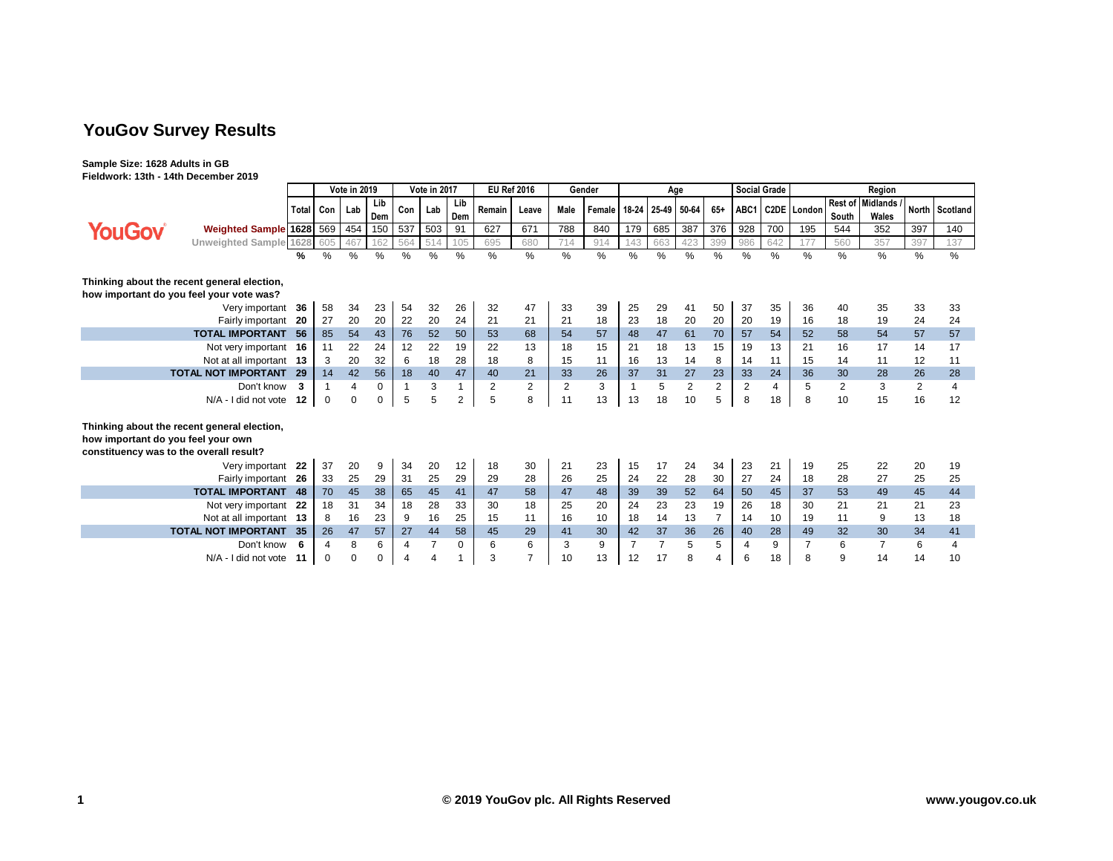# **YouGov Survey Results**

**Sample Size: 1628 Adults in GB Fieldwork: 13th - 14th December 2019**

|                                                                                                                              |                            | <b>Vote in 2019</b> |               | Vote in 2017 |            |                | <b>EU Ref 2016</b><br>Gender |               |                | Age            |      |        |              |               | <b>Social Grade</b> | Region         |               |                |               |       |                           |                |                |
|------------------------------------------------------------------------------------------------------------------------------|----------------------------|---------------------|---------------|--------------|------------|----------------|------------------------------|---------------|----------------|----------------|------|--------|--------------|---------------|---------------------|----------------|---------------|----------------|---------------|-------|---------------------------|----------------|----------------|
|                                                                                                                              |                            | <b>Total</b>        | Con           | Lab          | Lib<br>Dem | Con            | Lab                          | Lib<br>Dem    | Remain         | Leave          | Male | Female | 18-24        | 25-49 50-64   |                     | $65+$          | ABC1          |                | C2DE London   | South | Rest of Midlands<br>Wales |                | North Scotland |
| <b>YouGov</b>                                                                                                                | Weighted Sample 1628 569   |                     |               | 454          | 150        | 537            | 503                          | 91            | 627            | 671            | 788  | 840    | 179          | 685           | 387                 | 376            | 928           | 700            | 195           | 544   | 352                       | 397            | 140            |
|                                                                                                                              | Unweighted Sample 1628     |                     | 605           | 467          | 162        | 564            | 514                          | 105           | 695            | 680            | 714  | 914    | 143          | 663           | 423                 | 399            | 986           | 642            | 177           | 560   | 357                       | 397            | 137            |
|                                                                                                                              |                            |                     | $\frac{0}{0}$ | %            | $\%$       | %              | $\frac{0}{0}$                | $\frac{0}{0}$ | $\frac{0}{0}$  | %              | $\%$ | %      | %            | $\frac{0}{0}$ | $\%$                | $\frac{0}{0}$  | $\frac{0}{0}$ | $\frac{0}{0}$  | $\frac{0}{0}$ | %     | $\%$                      | %              | %              |
| Thinking about the recent general election,                                                                                  |                            |                     |               |              |            |                |                              |               |                |                |      |        |              |               |                     |                |               |                |               |       |                           |                |                |
| how important do you feel your vote was?                                                                                     |                            |                     |               |              |            |                |                              |               |                |                |      |        |              |               |                     |                |               |                |               |       |                           |                |                |
|                                                                                                                              | Very important             | -36                 | 58            | 34           | 23         | 54             | 32                           | 26            | 32             | 47             | 33   | 39     | 25           | 29            | 41                  | 50             | 37            | 35             | 36            | 40    | 35                        | 33             | 33             |
|                                                                                                                              | Fairly important           | - 20                | 27            | 20           | 20         | 22             | 20                           | 24            | 21             | 21             | 21   | 18     | 23           | 18            | 20                  | 20             | 20            | 19             | 16            | 18    | 19                        | 24             | 24             |
|                                                                                                                              | <b>TOTAL IMPORTANT</b>     | -56                 | 85            | 54           | 43         | 76             | 52                           | 50            | 53             | 68             | 54   | 57     | 48           | 47            | 61                  | 70             | 57            | 54             | 52            | 58    | 54                        | 57             | 57             |
|                                                                                                                              | Not very important 16      |                     | 11            | 22           | 24         | 12             | 22                           | 19            | 22             | 13             | 18   | 15     | 21           | 18            | 13                  | 15             | 19            | 13             | 21            | 16    | 17                        | 14             | 17             |
|                                                                                                                              | Not at all important 13    |                     | 3             | 20           | 32         | 6              | 18                           | 28            | 18             | 8              | 15   | 11     | 16           | 13            | 14                  | 8              | 14            | 11             | 15            | 14    | 11                        | 12             | 11             |
|                                                                                                                              | <b>TOTAL NOT IMPORTANT</b> | -29                 | 14            | 42           | 56         | 18             | 40                           | 47            | 40             | 21             | 33   | 26     | 37           | 31            | 27                  | 23             | 33            | 24             | 36            | 30    | 28                        | 26             | 28             |
|                                                                                                                              | Don't know                 | 3                   |               |              | 0          | $\overline{1}$ | 3                            |               | $\overline{2}$ | $\overline{2}$ | 2    | 3      | $\mathbf{1}$ | 5             | $\overline{2}$      | $\overline{2}$ | 2             | $\overline{4}$ | 5             | 2     | 3                         | $\overline{2}$ | 4              |
|                                                                                                                              | N/A - I did not vote 12    |                     | 0             | $\Omega$     | $\Omega$   | 5              | 5                            | 2             | 5              | 8              | 11   | 13     | 13           | 18            | 10                  | 5              | 8             | 18             | 8             | 10    | 15                        | 16             | 12             |
| Thinking about the recent general election,<br>how important do you feel your own<br>constituency was to the overall result? |                            |                     |               |              |            |                |                              |               |                |                |      |        |              |               |                     |                |               |                |               |       |                           |                |                |
|                                                                                                                              | Very important             | 22                  | 37            | 20           | 9          | 34             | 20                           | 12            | 18             | 30             | 21   | 23     | 15           | 17            | 24                  | 34             | 23            | 21             | 19            | 25    | 22                        | 20             | 19             |
|                                                                                                                              | Fairly important 26        |                     | 33            | 25           | 29         | 31             | 25                           | 29            | 29             | 28             | 26   | 25     | 24           | 22            | 28                  | 30             | 27            | 24             | 18            | 28    | 27                        | 25             | 25             |
|                                                                                                                              | <b>TOTAL IMPORTANT 48</b>  |                     | 70            | 45           | 38         | 65             | 45                           | 41            | 47             | 58             | 47   | 48     | 39           | 39            | 52                  | 64             | 50            | 45             | 37            | 53    | 49                        | 45             | 44             |
| Not very important 22                                                                                                        |                            |                     | 18            | 31           | 34         | 18             | 28                           | 33            | 30             | 18             | 25   | 20     | 24           | 23            | 23                  | 19             | 26            | 18             | 30            | 21    | 21                        | 21             | 23             |
| Not at all important 13                                                                                                      |                            |                     | 8             | 16           | 23         | 9              | 16                           | 25            | 15             | 11             | 16   | 10     | 18           | 14            | 13                  | 7              | 14            | 10             | 19            | 11    | 9                         | 13             | 18             |
| <b>TOTAL NOT IMPORTANT</b>                                                                                                   |                            | 35                  | 26            | 47           | 57         | 27             | 44                           | 58            | 45             | 29             | 41   | 30     | 42           | 37            | 36                  | 26             | 40            | 28             | 49            | 32    | 30                        | 34             | 41             |
|                                                                                                                              | Don't know                 | 6                   | 4             | 8            | 6          | 4              |                              | 0             | 6              | 6              | 3    | 9      | 7            |               | 5                   | 5              |               | 9              |               | 6     |                           | 6              | 4              |
| N/A - I did not vote                                                                                                         |                            | -11                 | $\mathbf 0$   | $\Omega$     | $\Omega$   |                |                              |               | 3              | 7              | 10   | 13     | 12           | 17            | 8                   | 4              | 6             | 18             |               | 9     | 14                        | 14             | 10             |